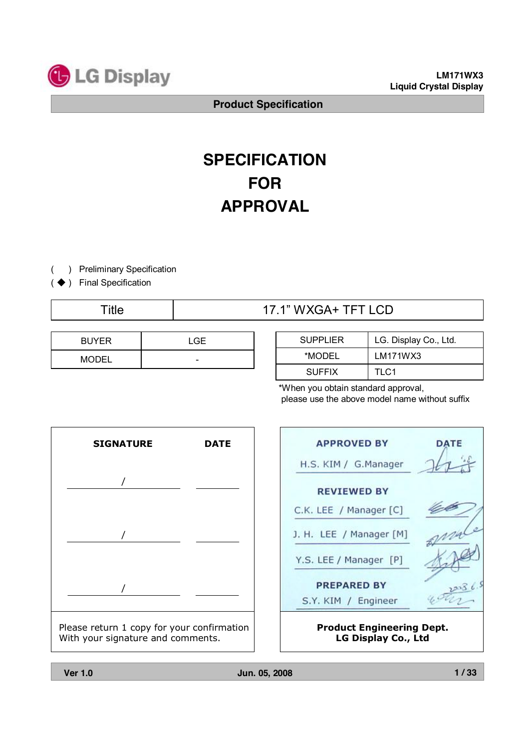

**LM171WX3 Liquid Crystal Display**

**Product Specification**

# **SPECIFICATION FOR APPROVAL**

- ) Preliminary Specification (
- (◆) Final Specification

# 17.1" WXGA+ TFT LCD

| <b>BUYER</b> | LGE |
|--------------|-----|
| <b>MODEL</b> | -   |

| <b>SUPPLIER</b> | LG. Display Co., Ltd. |
|-----------------|-----------------------|
| *MODEL          | LM171WX3              |
| <b>SUFFIX</b>   | TI C1                 |

\*When you obtain standard approval, please use the above model name without suffix

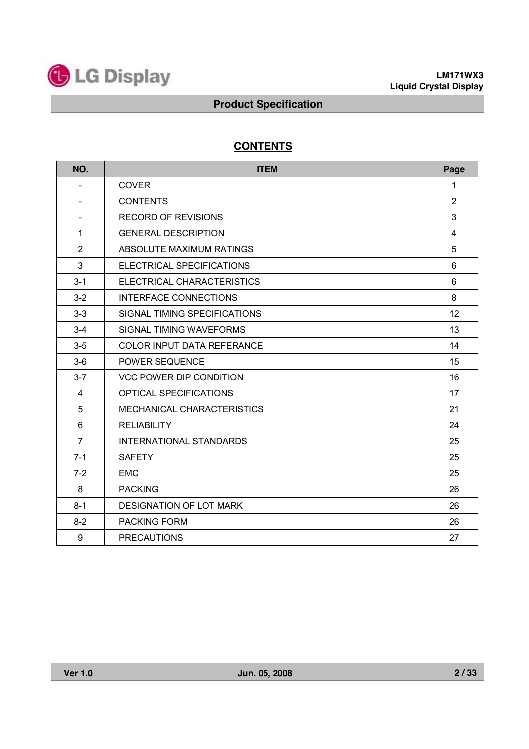

# **CONTENTS**

| NO.                      | <b>ITEM</b>                       | Page           |
|--------------------------|-----------------------------------|----------------|
| $\overline{\phantom{0}}$ | <b>COVER</b>                      | 1              |
|                          | <b>CONTENTS</b>                   | $\overline{2}$ |
| $\blacksquare$           | <b>RECORD OF REVISIONS</b>        | 3              |
| $\mathbf 1$              | <b>GENERAL DESCRIPTION</b>        | 4              |
| $\overline{2}$           | ABSOLUTE MAXIMUM RATINGS          | 5              |
| 3                        | ELECTRICAL SPECIFICATIONS         | 6              |
| $3 - 1$                  | ELECTRICAL CHARACTERISTICS        | 6              |
| $3 - 2$                  | <b>INTERFACE CONNECTIONS</b>      | 8              |
| $3 - 3$                  | SIGNAL TIMING SPECIFICATIONS      | 12             |
| $3 - 4$                  | SIGNAL TIMING WAVEFORMS           | 13             |
| $3-5$                    | <b>COLOR INPUT DATA REFERANCE</b> | 14             |
| $3-6$                    | <b>POWER SEQUENCE</b>             | 15             |
| $3 - 7$                  | <b>VCC POWER DIP CONDITION</b>    | 16             |
| 4                        | OPTICAL SPECIFICATIONS            | 17             |
| 5                        | MECHANICAL CHARACTERISTICS        | 21             |
| 6                        | <b>RELIABILITY</b>                | 24             |
| $\overline{7}$           | <b>INTERNATIONAL STANDARDS</b>    | 25             |
| $7 - 1$                  | <b>SAFETY</b>                     | 25             |
| $7 - 2$                  | <b>EMC</b>                        | 25             |
| 8                        | <b>PACKING</b>                    | 26             |
| $8 - 1$                  | DESIGNATION OF LOT MARK           | 26             |
| $8 - 2$                  | <b>PACKING FORM</b>               | 26             |
| 9                        | <b>PRECAUTIONS</b>                | 27             |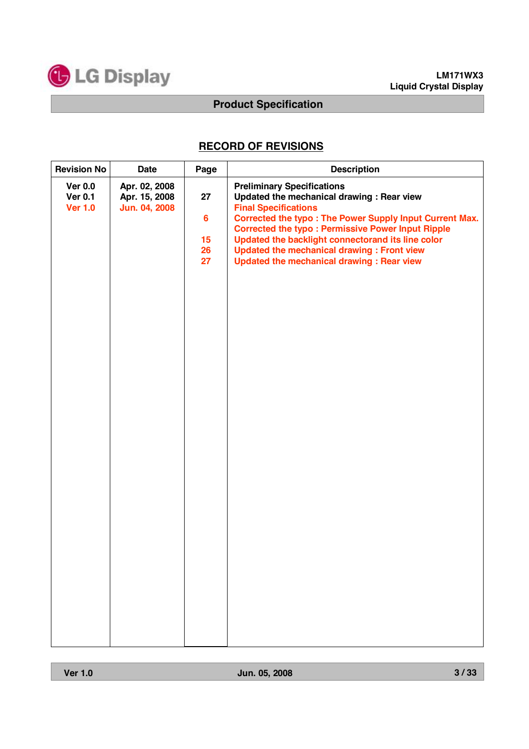

# **RECORD OF REVISIONS**

| <b>Revision No</b>                                 | <b>Date</b>                                     | Page                                   | <b>Description</b>                                                                                                                                                                                                                                                                                                                                                                                         |
|----------------------------------------------------|-------------------------------------------------|----------------------------------------|------------------------------------------------------------------------------------------------------------------------------------------------------------------------------------------------------------------------------------------------------------------------------------------------------------------------------------------------------------------------------------------------------------|
| <b>Ver 0.0</b><br><b>Ver 0.1</b><br><b>Ver 1.0</b> | Apr. 02, 2008<br>Apr. 15, 2008<br>Jun. 04, 2008 | 27<br>$6\phantom{a}$<br>15<br>26<br>27 | <b>Preliminary Specifications</b><br>Updated the mechanical drawing : Rear view<br><b>Final Specifications</b><br><b>Corrected the typo: The Power Supply Input Current Max.</b><br><b>Corrected the typo: Permissive Power Input Ripple</b><br>Updated the backlight connectorand its line color<br><b>Updated the mechanical drawing: Front view</b><br><b>Updated the mechanical drawing: Rear view</b> |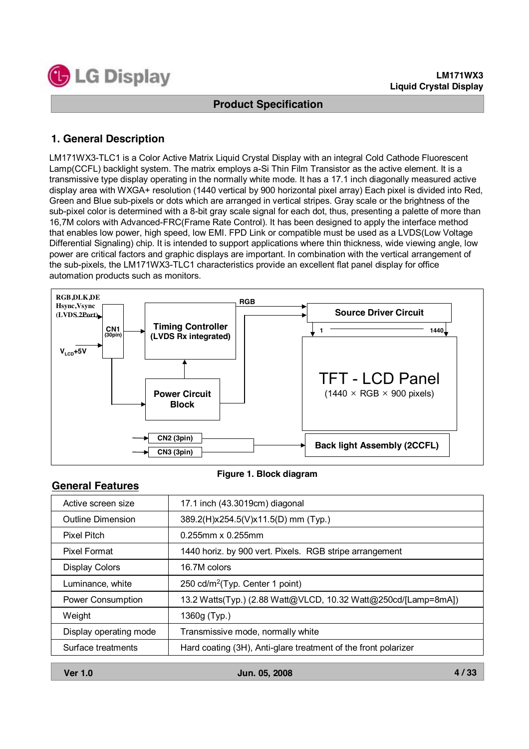

### **1. General Description**

LM171WX3-TLC1 is a Color Active Matrix Liquid Crystal Display with an integral Cold Cathode Fluorescent Lamp(CCFL) backlight system. The matrix employs a-Si Thin Film Transistor as the active element. It is a transmissive type display operating in the normally white mode. It has a 17.1 inch diagonally measured active display area with WXGA+ resolution (1440 vertical by 900 horizontal pixel array) Each pixel is divided into Red, Green and Blue sub-pixels or dots which are arranged in vertical stripes. Gray scale or the brightness of the sub-pixel color is determined with a 8-bit gray scale signal for each dot, thus, presenting a palette of more than 16,7M colors with Advanced-FRC(Frame Rate Control). It has been designed to apply the interface method that enables low power, high speed, low EMI. FPD Link or compatible must be used as a LVDS(Low Voltage Differential Signaling) chip. It is intended to support applications where thin thickness, wide viewing angle, low power are critical factors and graphic displays are important. In combination with the vertical arrangement of the sub-pixels, the LM171WX3-TLC1 characteristics provide an excellent flat panel display for office automation products such as monitors.



#### **Figure 1. Block diagram**

| 17.1 inch (43.3019cm) diagonal                                 |
|----------------------------------------------------------------|
| 389.2(H)x254.5(V)x11.5(D) mm (Typ.)                            |
| $0.255$ mm x $0.255$ mm                                        |
| 1440 horiz. by 900 vert. Pixels. RGB stripe arrangement        |
| 16.7M colors                                                   |
| 250 cd/m <sup>2</sup> (Typ. Center 1 point)                    |
| 13.2 Watts(Typ.) (2.88 Watt@VLCD, 10.32 Watt@250cd/[Lamp=8mA]) |
| 1360g (Typ.)                                                   |
| Transmissive mode, normally white                              |
| Hard coating (3H), Anti-glare treatment of the front polarizer |
|                                                                |

**General Features**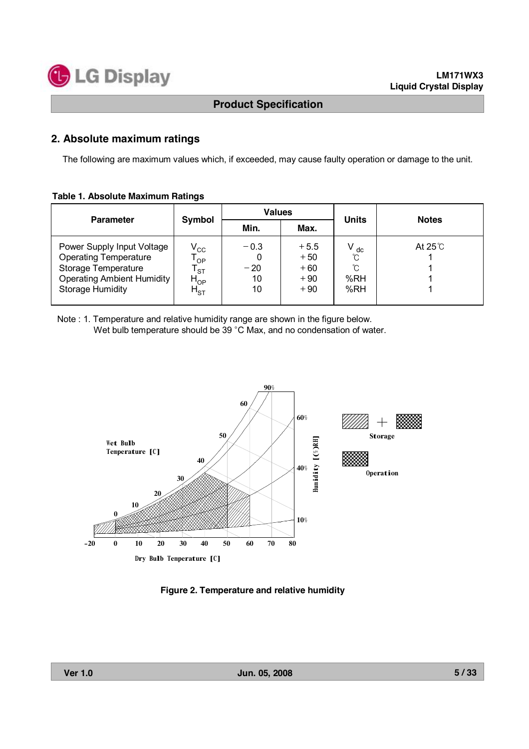

#### **2. Absolute maximum ratings**

The following are maximum values which, if exceeded, may cause faulty operation or damage to the unit.

#### **Table 1. Absolute Maximum Ratings**

| <b>Parameter</b>                                                                                                                                  |                                                             | <b>Values</b>               |                                            | <b>Units</b>                            | <b>Notes</b>  |  |
|---------------------------------------------------------------------------------------------------------------------------------------------------|-------------------------------------------------------------|-----------------------------|--------------------------------------------|-----------------------------------------|---------------|--|
|                                                                                                                                                   | Symbol                                                      | Min.<br>Max.                |                                            |                                         |               |  |
| Power Supply Input Voltage<br><b>Operating Temperature</b><br>Storage Temperature<br><b>Operating Ambient Humidity</b><br><b>Storage Humidity</b> | $V_{\rm CC}$<br>OP<br><b>ST</b><br>$H^{\rm OB}$<br>$H_{ST}$ | $-0.3$<br>$-20$<br>10<br>10 | $+5.5$<br>$+50$<br>$+60$<br>$+90$<br>$+90$ | $V_{dc}$<br>$\gamma$<br>∽<br>%RH<br>%RH | At $25^\circ$ |  |

Note : 1. Temperature and relative humidity range are shown in the figure below. Wet bulb temperature should be 39 °C Max, and no condensation of water.



**Figure 2. Temperature and relative humidity**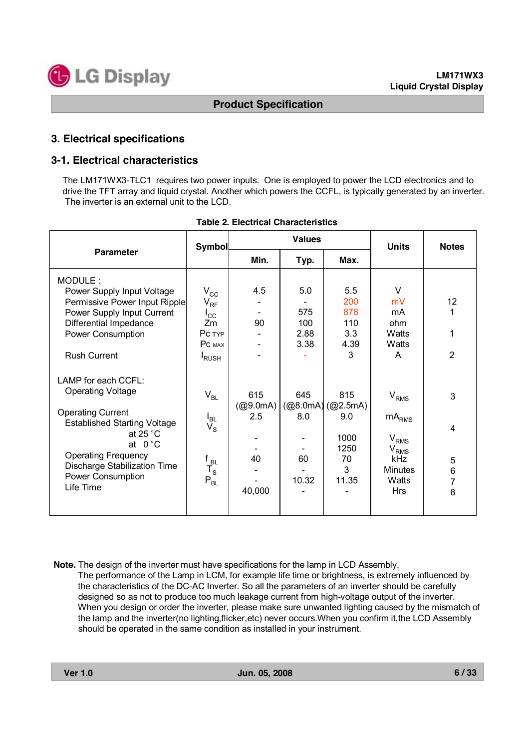

#### **3. Electrical specifications**

#### **3-1. Electrical characteristics**

The LM171WX3-TLC1 requires two power inputs. One is employed to power the LCD electronics and to drive the TFT array and liquid crystal. Another which powers the CCFL, is typically generated by an inverter. The inverter is an external unit to the LCD.

|                                                                                                                                                                                                                                                              | <b>Symbol</b>                                                                                                        |                                        | <b>Values</b>                         |                                                            | <b>Units</b>                                                                                                                              | <b>Notes</b>                            |
|--------------------------------------------------------------------------------------------------------------------------------------------------------------------------------------------------------------------------------------------------------------|----------------------------------------------------------------------------------------------------------------------|----------------------------------------|---------------------------------------|------------------------------------------------------------|-------------------------------------------------------------------------------------------------------------------------------------------|-----------------------------------------|
| <b>Parameter</b>                                                                                                                                                                                                                                             |                                                                                                                      | Min.                                   | Typ.                                  |                                                            |                                                                                                                                           |                                         |
| MODULE:<br>Power Supply Input Voltage<br>Permissive Power Input Ripple<br>Power Supply Input Current<br>Differential Impedance<br><b>Power Consumption</b><br><b>Rush Current</b>                                                                            | $\rm V_{\rm CC}$<br>$V_{RF}$<br>$I_{\rm CC}$<br>Zm<br>PC TYP<br>PC MAX                                               | 4.5<br>90                              | 5.0<br>575<br>100<br>2.88<br>3.38     | 5.5<br>200<br>878<br>110<br>3.3<br>4.39<br>3               | $\vee$<br>mV<br>mA<br>ohm<br>Watts<br>Watts<br>A                                                                                          | 12<br>1<br>1<br>$\overline{2}$          |
| LAMP for each CCFL:<br><b>Operating Voltage</b><br><b>Operating Current</b><br><b>Established Starting Voltage</b><br>at 25 $^{\circ}$ C<br>at $0^{\circ}$ C<br><b>Operating Frequency</b><br>Discharge Stabilization Time<br>Power Consumption<br>Life Time | <b>I</b> RUSH<br>$V_{BL}$<br>$V_{\rm SL}$<br>$\mathsf{f}_{\mathsf{BL}}$<br>$T_{\rm S}$<br>$\mathsf{P}_{\mathsf{BL}}$ | 615<br>(@9.0mA)<br>2.5<br>40<br>40,000 | 645<br>(@8.0mA)<br>8.0<br>60<br>10.32 | 815<br>(Q2.5mA)<br>9.0<br>1000<br>1250<br>70<br>3<br>11.35 | $V_{RMS}$<br>$\mathsf{mA}_{\mathsf{RMS}}$<br>$\rm V_{RMS}$<br>$\mathsf{V}_{\mathsf{RMS}}$<br>kHz<br><b>Minutes</b><br>Watts<br><b>Hrs</b> | 3<br>$\overline{4}$<br>5<br>6<br>7<br>8 |

#### **Table 2. Electrical Characteristics**

**Note.** The design of the inverter must have specifications for the lamp in LCD Assembly. The performance of the Lamp in LCM, for example life time or brightness, is extremely influenced by the characteristics of the DC-AC Inverter. So all the parameters of an inverter should be carefully designed so as not to produce too much leakage current from high-voltage output of the inverter. When you design or order the inverter, please make sure unwanted lighting caused by the mismatch of the lamp and the inverter(no lighting,flicker,etc) never occurs.When you confirm it,the LCD Assembly should be operated in the same condition as installed in your instrument.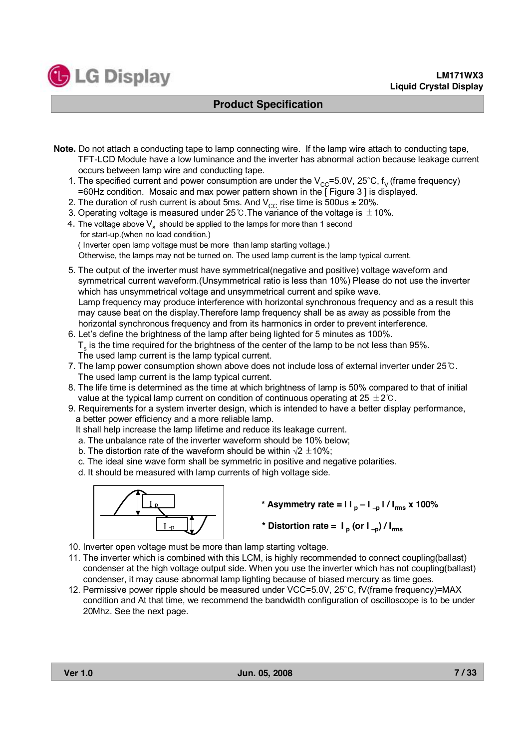

- **Note.** Do not attach a conducting tape to lamp connecting wire. If the lamp wire attach to conducting tape, TFT-LCD Module have a low luminance and the inverter has abnormal action because leakage current occurs between lamp wire and conducting tape.
	- 1. The specified current and power consumption are under the  $V_{CC}=5.0V$ , 25°C,  $f_V$  (frame frequency) =60Hz condition. Mosaic and max power pattern shown in the [ Figure 3 ] is displayed.
	- 2. The duration of rush current is about 5ms. And  $V_{CC}$  rise time is 500us  $\pm$  20%.
	- 3. Operating voltage is measured under 25 ℃. The variance of the voltage is  $±10\%$ .
	- 4. The voltage above  $V_s$  should be applied to the lamps for more than 1 second for start-up.(when no load condition.) ( Inverter open lamp voltage must be more than lamp starting voltage.) Otherwise, the lamps may not be turned on. The used lamp current is the lamp typical current.
	- 5. The output of the inverter must have symmetrical(negative and positive) voltage waveform and symmetrical current waveform.(Unsymmetrical ratio is less than 10%) Please do not use the inverter which has unsymmetrical voltage and unsymmetrical current and spike wave. Lamp frequency may produce interference with horizontal synchronous frequency and as a result this may cause beat on the display.Therefore lamp frequency shall be as away as possible from the horizontal synchronous frequency and from its harmonics in order to prevent interference.
	- 6. Let's define the brightness of the lamp after being lighted for 5 minutes as 100%.  $T<sub>s</sub>$  is the time required for the brightness of the center of the lamp to be not less than 95%. The used lamp current is the lamp typical current.
	- 7. The lamp power consumption shown above does not include loss of external inverter under 25℃. The used lamp current is the lamp typical current.
	- 8. The life time is determined as the time at which brightness of lamp is 50% compared to that of initial value at the typical lamp current on condition of continuous operating at  $25 \pm 2^{\circ}$ .
	- 9. Requirements for a system inverter design, which is intended to have a better display performance, a better power efficiency and a more reliable lamp.
		- It shall help increase the lamp lifetime and reduce its leakage current.
		- a. The unbalance rate of the inverter waveform should be 10% below;
		- b. The distortion rate of the waveform should be within  $\sqrt{2} \pm 10\%$ ;
		- c. The ideal sine wave form shall be symmetric in positive and negative polarities.
		- d. It should be measured with lamp currents of high voltage side.



- $*$  **Asymmetry** rate =  $| \mathbf{I} |_{p} | \mathbf{I} |_{p} |$  /  $| \mathbf{I}_{rms} | \mathbf{X} |$  100%
- \* **Distortion rate** =  $I_p$  (or  $I_{-p}$ )  $/I_{\text{rms}}$
- 10. Inverter open voltage must be more than lamp starting voltage.
- 11. The inverter which is combined with this LCM, is highly recommended to connect coupling(ballast) condenser at the high voltage output side. When you use the inverter which has not coupling(ballast) condenser, it may cause abnormal lamp lighting because of biased mercury as time goes.
- 12. Permissive power ripple should be measured under VCC=5.0V, 25°C, fV(frame frequency)=MAX condition and At that time, we recommend the bandwidth configuration of oscilloscope is to be under 20Mhz. See the next page.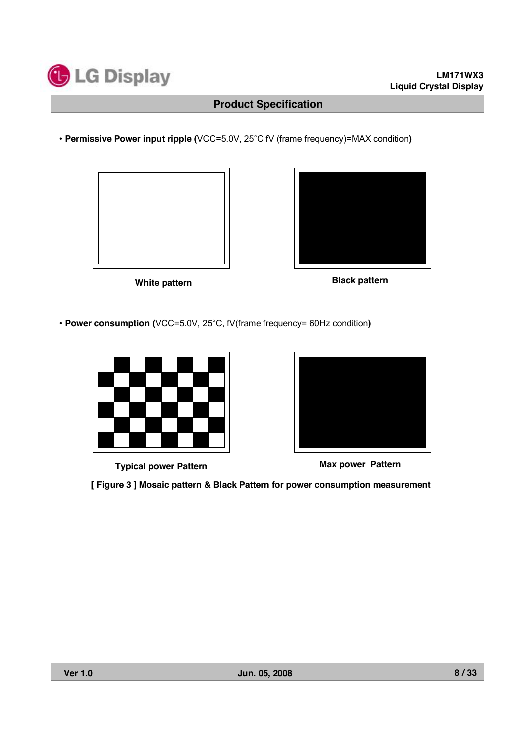

• **Permissive Power input ripple (**VCC=5.0V, 25°C fV (frame frequency)=MAX condition**)**





**White pattern Black pattern**

• **Power consumption (**VCC=5.0V, 25°C, fV(frame frequency= 60Hz condition**)**



**Typical power Pattern Max power Pattern**



**[ Figure 3 ] Mosaic pattern & Black Pattern for power consumption measurement**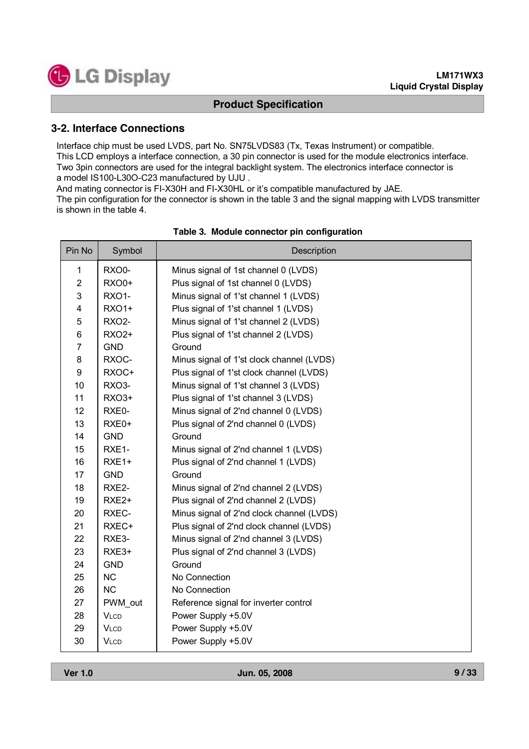

#### **3-2. Interface Connections**

Interface chip must be used LVDS, part No. SN75LVDS83 (Tx, Texas Instrument) or compatible. This LCD employs a interface connection, a 30 pin connector is used for the module electronics interface. Two 3pin connectors are used for the integral backlight system. The electronics interface connector is a model IS100-L30O-C23 manufactured by UJU .

And mating connector is FI-X30H and FI-X30HL or it's compatible manufactured by JAE.

The pin configuration for the connector is shown in the table 3 and the signal mapping with LVDS transmitter is shown in the table 4.

| Pin No         | Symbol             | Description                               |
|----------------|--------------------|-------------------------------------------|
| 1              | RXO0-              | Minus signal of 1st channel 0 (LVDS)      |
| $\overline{2}$ | <b>RXO0+</b>       | Plus signal of 1st channel 0 (LVDS)       |
| 3              | <b>RXO1-</b>       | Minus signal of 1'st channel 1 (LVDS)     |
| 4              | <b>RXO1+</b>       | Plus signal of 1'st channel 1 (LVDS)      |
| 5              | <b>RXO2-</b>       | Minus signal of 1'st channel 2 (LVDS)     |
| 6              | <b>RXO2+</b>       | Plus signal of 1'st channel 2 (LVDS)      |
| $\overline{7}$ | <b>GND</b>         | Ground                                    |
| 8              | RXOC-              | Minus signal of 1'st clock channel (LVDS) |
| 9              | RXOC+              | Plus signal of 1'st clock channel (LVDS)  |
| 10             | RXO3-              | Minus signal of 1'st channel 3 (LVDS)     |
| 11             | RXO3+              | Plus signal of 1'st channel 3 (LVDS)      |
| 12             | RXE0-              | Minus signal of 2'nd channel 0 (LVDS)     |
| 13             | RXE0+              | Plus signal of 2'nd channel 0 (LVDS)      |
| 14             | <b>GND</b>         | Ground                                    |
| 15             | RXE <sub>1</sub> - | Minus signal of 2'nd channel 1 (LVDS)     |
| 16             | RXE1+              | Plus signal of 2'nd channel 1 (LVDS)      |
| 17             | <b>GND</b>         | Ground                                    |
| 18             | RXE2-              | Minus signal of 2'nd channel 2 (LVDS)     |
| 19             | RXE <sub>2+</sub>  | Plus signal of 2'nd channel 2 (LVDS)      |
| 20             | RXEC-              | Minus signal of 2'nd clock channel (LVDS) |
| 21             | RXEC+              | Plus signal of 2'nd clock channel (LVDS)  |
| 22             | RXE3-              | Minus signal of 2'nd channel 3 (LVDS)     |
| 23             | RXE3+              | Plus signal of 2'nd channel 3 (LVDS)      |
| 24             | <b>GND</b>         | Ground                                    |
| 25             | <b>NC</b>          | No Connection                             |
| 26             | <b>NC</b>          | No Connection                             |
| 27             | PWM out            | Reference signal for inverter control     |
| 28             | <b>VLCD</b>        | Power Supply +5.0V                        |
| 29             | <b>VLCD</b>        | Power Supply +5.0V                        |
| 30             | <b>VLCD</b>        | Power Supply +5.0V                        |

#### **Table 3. Module connector pin configuration**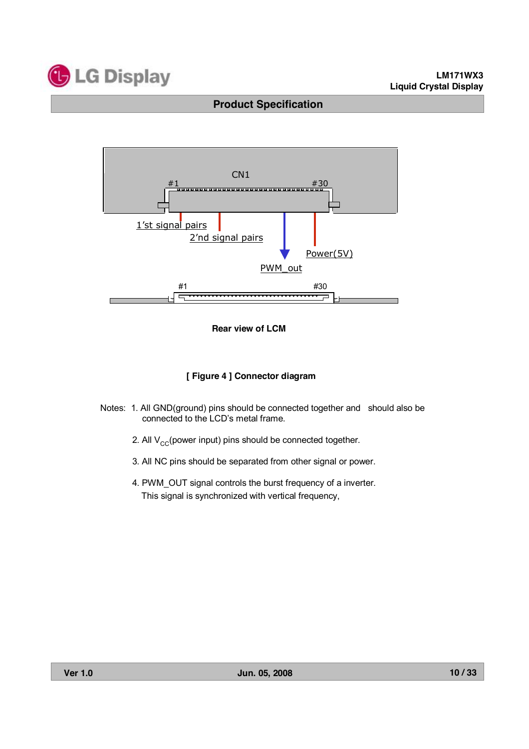



#### **Rear view of LCM**

#### **[ Figure 4 ] Connector diagram**

- Notes: 1. All GND(ground) pins should be connected together and should also be connected to the LCD's metal frame.
	- 2. All  $V_{CC}$ (power input) pins should be connected together.
	- 3. All NC pins should be separated from other signal or power.
	- 4. PWM\_OUT signal controls the burst frequency of a inverter. This signal is synchronized with vertical frequency,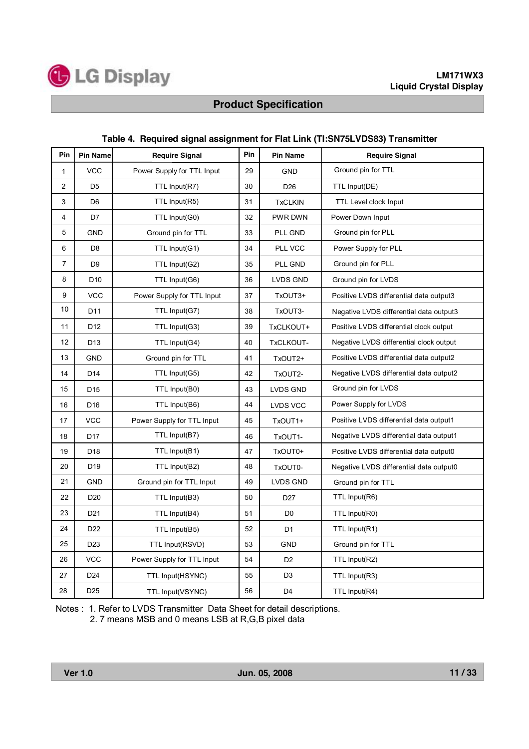

| Pin            | <b>Pin Name</b> | <b>Require Signal</b>      | Pin | <b>Pin Name</b> | <b>Require Signal</b>                   |
|----------------|-----------------|----------------------------|-----|-----------------|-----------------------------------------|
| 1              | <b>VCC</b>      | Power Supply for TTL Input | 29  | <b>GND</b>      | Ground pin for TTL                      |
| 2              | D <sub>5</sub>  | TTL Input(R7)              | 30  | D <sub>26</sub> | TTL Input(DE)                           |
| 3              | D <sub>6</sub>  | TTL Input(R5)              | 31  | <b>TxCLKIN</b>  | <b>TTL Level clock Input</b>            |
| 4              | D7              | TTL Input(G0)              | 32  | PWR DWN         | Power Down Input                        |
| 5              | <b>GND</b>      | Ground pin for TTL         | 33  | PLL GND         | Ground pin for PLL                      |
| 6              | D <sub>8</sub>  | TTL Input(G1)              | 34  | PLL VCC         | Power Supply for PLL                    |
| $\overline{7}$ | D <sub>9</sub>  | TTL Input(G2)              | 35  | PLL GND         | Ground pin for PLL                      |
| 8              | D <sub>10</sub> | TTL Input(G6)              | 36  | LVDS GND        | Ground pin for LVDS                     |
| 9              | <b>VCC</b>      | Power Supply for TTL Input | 37  | TxOUT3+         | Positive LVDS differential data output3 |
| 10             | D <sub>11</sub> | TTL Input(G7)              | 38  | TxOUT3-         | Negative LVDS differential data output3 |
| 11             | D <sub>12</sub> | TTL Input(G3)              | 39  | TxCLKOUT+       | Positive LVDS differential clock output |
| 12             | D <sub>13</sub> | TTL Input(G4)              | 40  | TxCLKOUT-       | Negative LVDS differential clock output |
| 13             | <b>GND</b>      | Ground pin for TTL         | 41  | TxOUT2+         | Positive LVDS differential data output2 |
| 14             | D <sub>14</sub> | TTL Input(G5)              | 42  | TxOUT2-         | Negative LVDS differential data output2 |
| 15             | D <sub>15</sub> | TTL Input(B0)              | 43  | LVDS GND        | Ground pin for LVDS                     |
| 16             | D <sub>16</sub> | TTL Input(B6)              | 44  | LVDS VCC        | Power Supply for LVDS                   |
| 17             | <b>VCC</b>      | Power Supply for TTL Input | 45  | TxOUT1+         | Positive LVDS differential data output1 |
| 18             | D <sub>17</sub> | TTL Input(B7)              | 46  | TxOUT1-         | Negative LVDS differential data output1 |
| 19             | D <sub>18</sub> | TTL Input(B1)              | 47  | TxOUT0+         | Positive LVDS differential data output0 |
| 20             | D <sub>19</sub> | TTL Input(B2)              | 48  | TxOUT0-         | Negative LVDS differential data output0 |
| 21             | <b>GND</b>      | Ground pin for TTL Input   | 49  | LVDS GND        | Ground pin for TTL                      |
| 22             | D <sub>20</sub> | TTL Input(B3)              | 50  | D <sub>27</sub> | TTL Input(R6)                           |
| 23             | D <sub>21</sub> | TTL Input(B4)              | 51  | D <sub>0</sub>  | TTL Input(R0)                           |
| 24             | D <sub>22</sub> | TTL Input(B5)              | 52  | D <sub>1</sub>  | TTL Input(R1)                           |
| 25             | D <sub>23</sub> | TTL Input(RSVD)            | 53  | <b>GND</b>      | Ground pin for TTL                      |
| 26             | <b>VCC</b>      | Power Supply for TTL Input | 54  | D <sub>2</sub>  | TTL Input(R2)                           |
| 27             | D <sub>24</sub> | TTL Input(HSYNC)           | 55  | D <sub>3</sub>  | TTL Input(R3)                           |
| 28             | D <sub>25</sub> | TTL Input(VSYNC)           | 56  | D <sub>4</sub>  | TTL Input(R4)                           |

#### **Table 4. Required signal assignment for Flat Link (TI:SN75LVDS83) Transmitter**

Notes : 1. Refer to LVDS Transmitter Data Sheet for detail descriptions. 2. 7 means MSB and 0 means LSB at R,G,B pixel data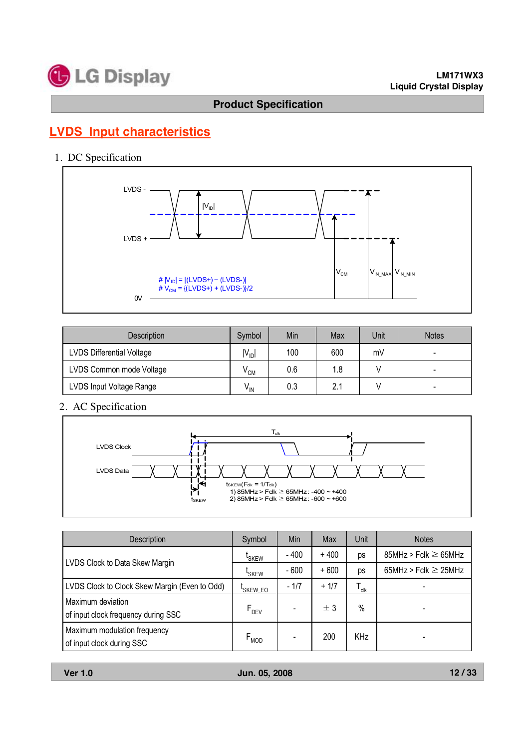

# **LVDS Input characteristics**

1. DC Specification



| <b>Description</b>               | Symbol          | Min | Max | Unit | <b>Notes</b> |
|----------------------------------|-----------------|-----|-----|------|--------------|
| <b>LVDS Differential Voltage</b> | $IV_{ID}$       | 100 | 600 | mV   |              |
| LVDS Common mode Voltage         | $\rm{v}$ CM     | 0.6 | 1.8 |      | -            |
| LVDS Input Voltage Range         | $V_{\text{IN}}$ | 0.3 | 2.1 |      |              |

2. AC Specification



| Description                                               | Symbol               | Min    | Max    | Unit             | <b>Notes</b>              |
|-----------------------------------------------------------|----------------------|--------|--------|------------------|---------------------------|
| LVDS Clock to Data Skew Margin                            | <sup>L</sup> SKEW    | $-400$ | $+400$ | ps               | $85MHz > Fclk \ge 65MHz$  |
|                                                           | <sup>L</sup> SKEW    | $-600$ | $+600$ | ps               | 65MHz > Fclk $\geq$ 25MHz |
| LVDS Clock to Clock Skew Margin (Even to Odd)             | <sup>L</sup> SKEW_EO | $-1/7$ | $+1/7$ | $T_{\text{clk}}$ |                           |
| Maximum deviation<br>of input clock frequency during SSC  | $F_{DEV}$            |        | ± 3    | $\%$             |                           |
| Maximum modulation frequency<br>of input clock during SSC | $F_{MOD}$            |        | 200    | KHz              |                           |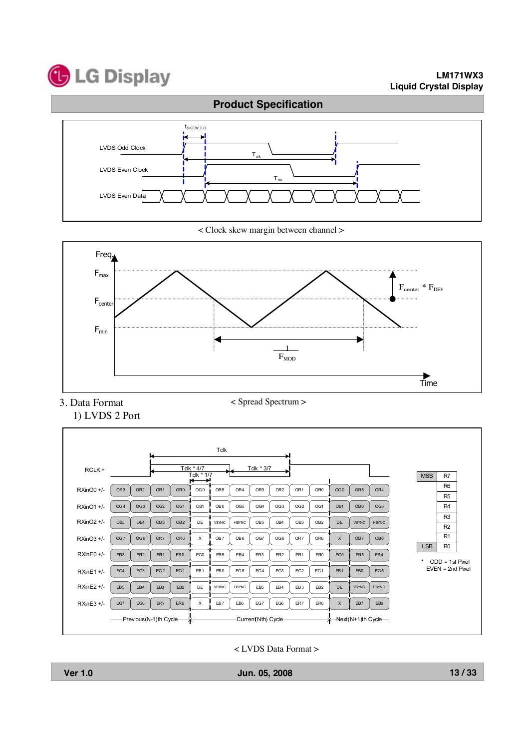

#### **LM171WX3 Liquid Crystal Display**



< Clock skew margin between channel >



3. Data Format 1) LVDS 2 Port < Spread Spectrum >



< LVDS Data Format >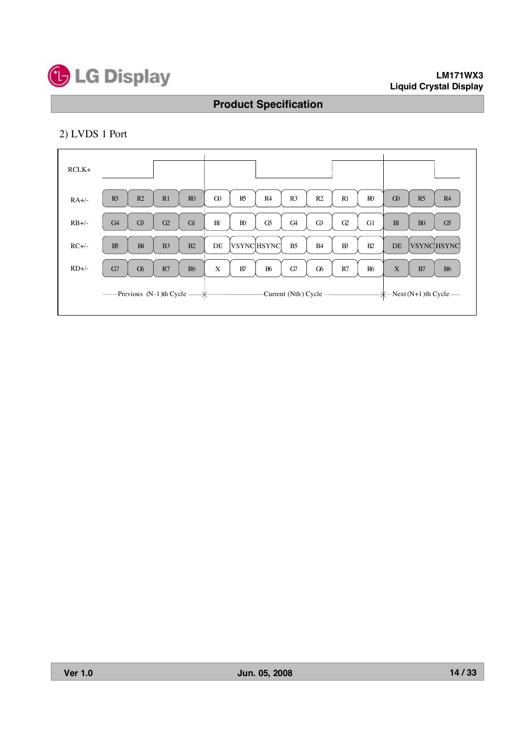

#### **LM171WX3 Liquid Crystal Display**

# **Product Specification**

# 2) LVDS 1 Port

| $RCLK+$ |                                               |              |                |                |          |                |                   |                |                         |                |                |             |                   |                                   |
|---------|-----------------------------------------------|--------------|----------------|----------------|----------|----------------|-------------------|----------------|-------------------------|----------------|----------------|-------------|-------------------|-----------------------------------|
| $RA+/-$ | R3                                            | R2           | R1             | R <sub>0</sub> | $\Omega$ | R5             | R4                | R <sub>3</sub> | R <sub>2</sub>          | R1             | R <sub>0</sub> | $\Omega$    | R <sub>5</sub>    | R4                                |
| $RB+/-$ | G4                                            | $\mathbb{G}$ | G2             | G1             | B1       | B <sub>0</sub> | G5                | G <sub>4</sub> | $\mathbb{G}$            | G2             | G1             | <b>B1</b>   | B <sub>0</sub>    | G5                                |
| $RC+/-$ | B <sub>5</sub>                                | B4           | B <sub>3</sub> | B2             | DE       |                | <b>VSYNCHSYNC</b> | B <sub>5</sub> | <b>B4</b>               | B <sup>3</sup> | B2             | DE          | <b>VSYNCHSYNC</b> |                                   |
| $RD+/-$ | G7                                            | $\sigma$     | R7             | R <sub>6</sub> | X        | B7             | <b>B6</b>         | G7             | G6                      | R7             | <b>R6</b>      | $\mathbf X$ | B7                | <b>B6</b>                         |
|         | ——Previous $(N-1)$ th Cycle — $\cancel{\ast}$ |              |                |                |          |                |                   |                | -Current (Nth) Cycle —— |                |                |             |                   | $\leftarrow$ Next (N+1)th Cycle — |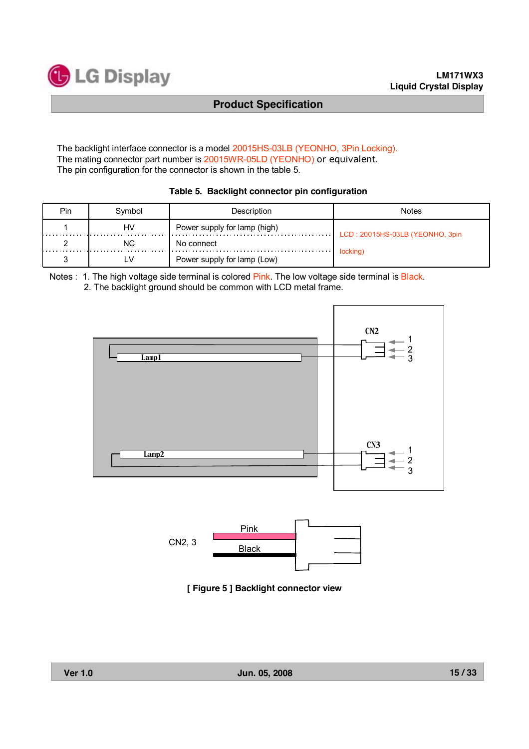

The backlight interface connector is a model 20015HS-03LB (YEONHO, 3Pin Locking). The mating connector part number is 20015WR-05LD (YEONHO) or equivalent. The pin configuration for the connector is shown in the table 5.

| Table 5. Backlight connector pin configuration |  |  |  |  |  |  |
|------------------------------------------------|--|--|--|--|--|--|
|------------------------------------------------|--|--|--|--|--|--|

| Pin. | Symbol | Description                  | Notes                           |  |  |  |
|------|--------|------------------------------|---------------------------------|--|--|--|
|      | HV     | Power supply for lamp (high) | LCD: 20015HS-03LB (YEONHO, 3pin |  |  |  |
|      | NC.    | No connect                   |                                 |  |  |  |
|      | LV     | Power supply for lamp (Low)  | locking)                        |  |  |  |

Notes : 1. The high voltage side terminal is colored Pink. The low voltage side terminal is Black. 2. The backlight ground should be common with LCD metal frame.





**[ Figure 5 ] Backlight connector view**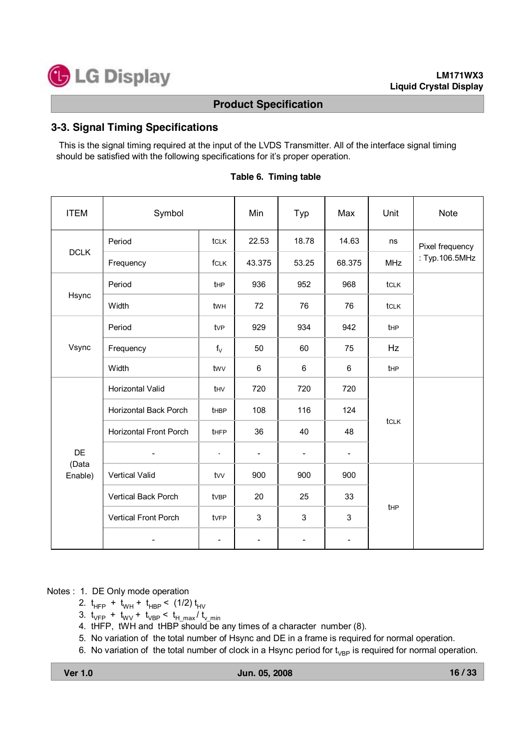

#### **3-3. Signal Timing Specifications**

This is the signal timing required at the input of the LVDS Transmitter. All of the interface signal timing should be satisfied with the following specifications for it's proper operation.

| <b>ITEM</b>      | Symbol                        |                 | Min                      | Typ                      | Max                      | Unit       | <b>Note</b>     |  |
|------------------|-------------------------------|-----------------|--------------------------|--------------------------|--------------------------|------------|-----------------|--|
|                  | Period                        | tclk            | 22.53                    | 18.78                    | 14.63                    | ns         | Pixel frequency |  |
| <b>DCLK</b>      | Frequency                     | fclk            | 43.375                   | 53.25                    | 68.375                   | <b>MHz</b> | : Typ.106.5MHz  |  |
|                  | Period                        | t <sub>HP</sub> | 936                      | 952                      | 968                      | tclk       |                 |  |
| Hsync            | Width                         | twh             | 72                       | 76                       | 76                       | tclk       |                 |  |
| Vsync            | Period                        | tv <sub>P</sub> | 929                      | 934                      | 942                      | tHP        |                 |  |
|                  | Frequency                     | $f_V$           | 50                       | 60                       | 75                       | Hz         |                 |  |
|                  | Width                         | twv             | 6                        | 6                        | 6                        | tHP        |                 |  |
|                  | Horizontal Valid              | thv             | 720                      | 720                      | 720                      |            |                 |  |
|                  | Horizontal Back Porch         | tHBP            | 108                      | 116                      | 124                      |            |                 |  |
|                  | <b>Horizontal Front Porch</b> | tHFP            | 36                       | 40                       | 48                       | tclk       |                 |  |
| DE               | $\overline{\phantom{a}}$      | $\blacksquare$  | $\overline{\phantom{a}}$ | $\overline{\phantom{a}}$ | $\overline{\phantom{a}}$ |            |                 |  |
| (Data<br>Enable) | <b>Vertical Valid</b>         | tw              | 900                      | 900                      | 900                      |            |                 |  |
|                  | <b>Vertical Back Porch</b>    | tvBP            | 20                       | 25                       | 33                       |            |                 |  |
|                  | <b>Vertical Front Porch</b>   | tvFP            | 3                        | 3                        | 3                        | tHP        |                 |  |
|                  |                               | $\overline{a}$  | $\overline{\phantom{a}}$ | $\overline{\phantom{a}}$ | $\overline{\phantom{0}}$ |            |                 |  |

#### **Table 6. Timing table**

Notes : 1. DE Only mode operation

- 2.  $t_{HFP}$  +  $t_{WH}$  +  $t_{HBP}$  < (1/2)  $t_{HV}$
- 3.  $t_{VFP}$  +  $t_{WV}$  +  $t_{VBP}$  <  $t_{H,max}/t_{V,min}$
- 4. tHFP, tWH and tHBP should be any times of a character number (8).
- 5. No variation of the total number of Hsync and DE in a frame is required for normal operation.
- 6. No variation of the total number of clock in a Hsync period for  $t_{VBP}$  is required for normal operation.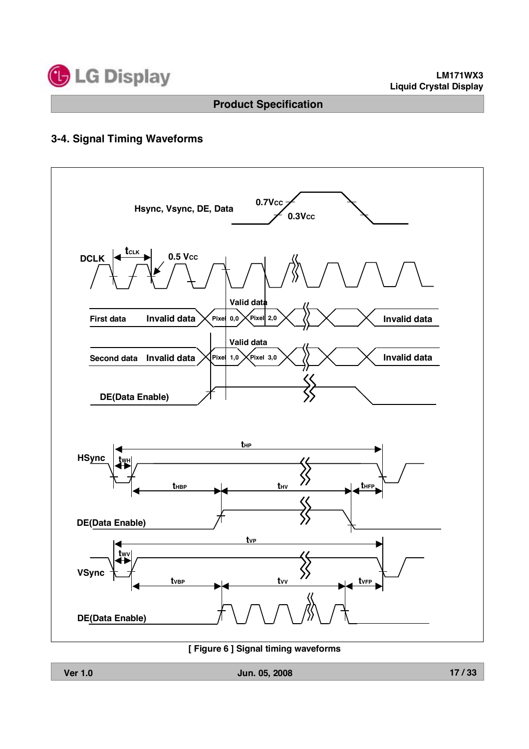

# **3-4. Signal Timing Waveforms**



**[ Figure 6 ] Signal timing waveforms**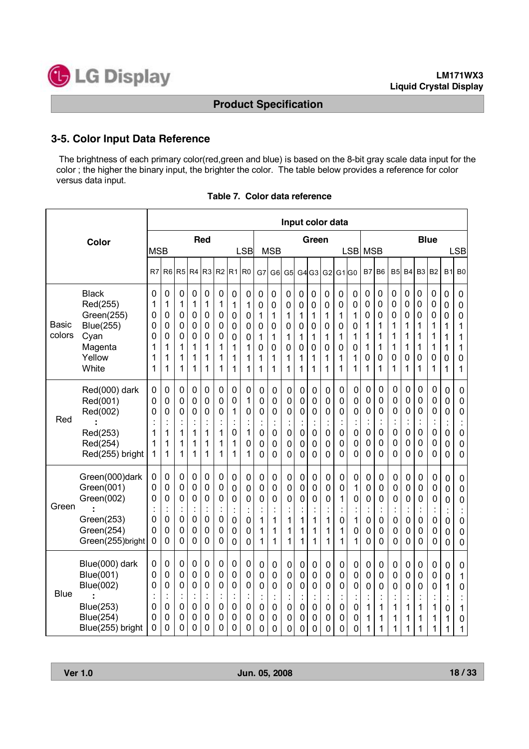

#### **3-5. Color Input Data Reference**

The brightness of each primary color(red,green and blue) is based on the 8-bit gray scale data input for the color ; the higher the binary input, the brighter the color. The table below provides a reference for color versus data input.

|                        |                                                                                                             |                                      |                                                                     |                                                                                      |                                                                        |                                                                        |                                                                      |                                                    |                                                                            |                                      |                                                                          |                                                        |                                                          |                                                                  | Input color data                                                                       |                                              |                                              |                                                      |                                                                                                      |                                                                                                |                                                                                                |                                                                              |                                                                                                |                                              |                                                |
|------------------------|-------------------------------------------------------------------------------------------------------------|--------------------------------------|---------------------------------------------------------------------|--------------------------------------------------------------------------------------|------------------------------------------------------------------------|------------------------------------------------------------------------|----------------------------------------------------------------------|----------------------------------------------------|----------------------------------------------------------------------------|--------------------------------------|--------------------------------------------------------------------------|--------------------------------------------------------|----------------------------------------------------------|------------------------------------------------------------------|----------------------------------------------------------------------------------------|----------------------------------------------|----------------------------------------------|------------------------------------------------------|------------------------------------------------------------------------------------------------------|------------------------------------------------------------------------------------------------|------------------------------------------------------------------------------------------------|------------------------------------------------------------------------------|------------------------------------------------------------------------------------------------|----------------------------------------------|------------------------------------------------|
| Color                  |                                                                                                             | <b>Red</b><br><b>MSB</b>             |                                                                     |                                                                                      |                                                                        |                                                                        | Green<br><b>LSB</b><br><b>MSB</b><br><b>LSB</b>                      |                                                    |                                                                            |                                      |                                                                          | <b>Blue</b><br><b>MSB</b><br><b>LSB</b>                |                                                          |                                                                  |                                                                                        |                                              |                                              |                                                      |                                                                                                      |                                                                                                |                                                                                                |                                                                              |                                                                                                |                                              |                                                |
|                        |                                                                                                             | R7                                   | R <sub>6</sub>                                                      | R5                                                                                   | R <sub>4</sub>                                                         | R <sub>3</sub>                                                         | R <sub>2</sub>                                                       | R <sub>1</sub>                                     | R <sub>0</sub>                                                             | G7                                   | G <sub>6</sub>                                                           | G5                                                     | G4                                                       | G <sub>3</sub>                                                   | G2                                                                                     | G <sub>1</sub> G <sub>0</sub>                |                                              | B7                                                   | B <sub>6</sub>                                                                                       | B <sub>5</sub>                                                                                 | <b>B4</b>                                                                                      | B <sub>3</sub>                                                               | B <sub>2</sub>                                                                                 | <b>B1</b>                                    | B <sub>0</sub>                                 |
| <b>Basic</b><br>colors | <b>Black</b><br>Red(255)<br>Green(255)<br><b>Blue(255)</b><br>Cyan<br>Magenta<br>Yellow<br>White            | 0<br>1<br>0<br>0<br>0<br>1<br>1<br>1 | 0<br>1<br>0<br>0<br>0<br>1<br>1<br>1                                | $\mathbf 0$<br>1<br>$\mathbf 0$<br>$\mathbf 0$<br>0<br>1<br>1<br>1                   | 0<br>1<br>0<br>0<br>0<br>1<br>1<br>1                                   | 0<br>1<br>0<br>0<br>0<br>1<br>1<br>1                                   | 0<br>1<br>0<br>$\mathbf 0$<br>0<br>1<br>1<br>1                       | 0<br>1<br>0<br>0<br>0<br>1<br>1<br>1               | 0<br>1<br>0<br>0<br>0<br>1<br>1<br>1                                       | 0<br>0<br>1<br>0<br>1<br>0<br>1<br>1 | 0<br>0<br>1<br>0<br>1<br>0<br>1<br>1                                     | 0<br>0<br>1<br>0<br>1<br>0<br>1<br>1                   | $\mathbf 0$<br>0<br>1<br>$\mathbf 0$<br>1<br>0<br>1<br>1 | 0<br>0<br>1<br>0<br>1<br>0<br>1<br>1                             | 0<br>0<br>1<br>$\mathbf 0$<br>1<br>0<br>1<br>1                                         | 0<br>0<br>1<br>0<br>1<br>0<br>1<br>1         | 0<br>0<br>1<br>$\pmb{0}$<br>1<br>0<br>1<br>1 | 0<br>0<br>$\mathbf 0$<br>1<br>1<br>1<br>0<br>1       | 0<br>0<br>0<br>1<br>1<br>1<br>0<br>1                                                                 | 0<br>0<br>0<br>1<br>1<br>1<br>0<br>1                                                           | 0<br>0<br>0<br>1<br>1<br>1<br>0<br>1                                                           | $\mathbf 0$<br>$\mathbf 0$<br>$\mathbf 0$<br>1<br>1<br>1<br>$\mathbf 0$<br>1 | 0<br>0<br>0<br>1<br>1<br>1<br>0<br>1                                                           | 0<br>0<br>0<br>1<br>1<br>1<br>0<br>1         | 0<br>0<br>0<br>1<br>1<br>1<br>$\mathbf 0$<br>1 |
| Red                    | Red(000) dark<br>Red(001)<br>Red(002)<br>Red(253)<br>Red(254)<br>Red(255) bright                            | 0<br>0<br>0<br>1<br>1<br>1           | 0<br>0<br>0<br>$\ddot{\cdot}$<br>1<br>1<br>1                        | 0<br>0<br>0<br>$\ddot{\cdot}$<br>1<br>1<br>1                                         | 0<br>0<br>0<br>$\ddot{\cdot}$<br>1<br>1<br>1                           | 0<br>0<br>0<br>t<br>1<br>1<br>1                                        | 0<br>0<br>0<br>$\ddot{\cdot}$<br>1<br>1<br>1                         | 0<br>0<br>1<br>İ<br>0<br>1<br>1                    | 0<br>1<br>0<br>$\ddot{\cdot}$<br>1<br>0<br>1                               | 0<br>0<br>0<br>0<br>0<br>0           | 0<br>0<br>0<br>$\ddot{\cdot}$<br>0<br>0<br>$\overline{0}$                | 0<br>0<br>0<br>İ<br>0<br>0<br>0                        | 0<br>0<br>0<br>$\ddot{\cdot}$<br>$\mathbf 0$<br>0<br>0   | 0<br>0<br>0<br>$\ddot{\cdot}$<br>0<br>0<br>0                     | 0<br>0<br>0<br>İ<br>0<br>0<br>0                                                        | 0<br>0<br>0<br>$\ddot{\cdot}$<br>0<br>0<br>0 | 0<br>0<br>0<br>$\pmb{0}$<br>0<br>0           | 0<br>0<br>$\mathbf 0$<br>j.<br>$\mathbf 0$<br>0<br>0 | 0<br>$\mathbf 0$<br>$\mathbf 0$<br>$\ddot{\cdot}$<br>$\mathbf 0$<br>$\overline{0}$<br>$\overline{0}$ | 0<br>0<br>$\mathbf 0$<br>$\ddot{\cdot}$<br>0<br>$\mathbf 0$<br>$\overline{0}$                  | 0<br>0<br>0<br>j.<br>0<br>0<br>0                                                               | 0<br>0<br>0<br>$\ddot{\cdot}$<br>$\pmb{0}$<br>$\mathbf 0$<br>0               | 0<br>0<br>0<br>¢<br>0<br>0<br>0                                                                | 0<br>0<br>0<br>$\ddot{\cdot}$<br>0<br>0<br>0 | 0<br>0<br>0<br>0<br>0<br>0                     |
| Green                  | Green(000)dark<br>Green(001)<br>Green(002)<br>Green(253)<br>Green(254)<br>Green(255)bright                  | 0<br>0<br>0<br>0<br>0<br>0           | 0<br>0<br>0<br>$\cdot$<br>$\cdot$<br>0<br>0<br>0                    | 0<br>$\mathbf 0$<br>0<br>$\ddot{\cdot}$<br>$\mathbf 0$<br>$\mathbf 0$<br>$\mathbf 0$ | $\mathbf 0$<br>0<br>0<br>$\ddot{\cdot}$<br>$\mathbf 0$<br>0<br>0       | 0<br>0<br>0<br>Ì,<br>0<br>0<br>0                                       | $\pmb{0}$<br>0<br>0<br>$\ddot{\phantom{a}}$<br>0<br>0<br>$\mathbf 0$ | 0<br>0<br>0<br>$\ddot{\phantom{a}}$<br>0<br>0<br>0 | 0<br>0<br>0<br>ä,<br>0<br>0<br>0                                           | 0<br>0<br>0<br>ä,<br>1<br>1<br>1     | $\pmb{0}$<br>$\mathbf 0$<br>$\mathbf 0$<br>$\ddot{\cdot}$<br>1<br>1<br>1 | 0<br>0<br>0<br>$\blacksquare$<br>1<br>1<br>1           | 0<br>0<br>0<br>İ<br>1<br>1<br>1                          | 0<br>$\mathsf 0$<br>$\mathbf 0$<br>$\ddot{\cdot}$<br>1<br>1<br>1 | $\mathbf 0$<br>0<br>$\mathbf 0$<br>×,<br>1<br>1<br>1                                   | 0<br>0<br>1<br>$\ddot{\cdot}$<br>0<br>1<br>1 | 0<br>1<br>0<br>$\cdot$<br>1<br>0<br>1        | 0<br>0<br>0<br>٠<br>0<br>0<br>$\overline{0}$         | 0<br>0<br>0<br>$\ddot{\cdot}$<br>0<br>0<br>$\overline{0}$                                            | $\mathbf 0$<br>$\mathbf 0$<br>$\mathbf 0$<br>$\ddot{\cdot}$<br>$\mathbf 0$<br>0<br>$\mathbf 0$ | 0<br>$\mathbf 0$<br>$\mathbf 0$<br>$\blacksquare$<br>$\mathbf 0$<br>$\mathbf 0$<br>$\mathbf 0$ | 0<br>0<br>0<br>ä,<br>0<br>0<br>0                                             | $\mathbf 0$<br>$\mathbf 0$<br>$\mathbf 0$<br>$\ddot{\cdot}$<br>$\mathbf 0$<br>0<br>$\mathbf 0$ | 0<br>0<br>0<br>0<br>0<br>0                   | 0<br>0<br>0<br>Ì,<br>$\mathbf 0$<br>0<br>0     |
| <b>Blue</b>            | Blue(000) dark<br>Blue(001)<br><b>Blue(002)</b><br><b>Blue(253)</b><br><b>Blue(254)</b><br>Blue(255) bright | 0<br>0<br>0<br>0<br>0<br>0           | $\mathbf 0$<br>$\mathbf 0$<br>0<br>$\cdot$<br>$\mathbf 0$<br>0<br>0 | 0<br>$\mathbf 0$<br>0<br>ä,<br>0<br>0<br>0                                           | $\mathbf 0$<br>0<br>0<br>$\ddot{\phantom{a}}$<br>$\mathbf 0$<br>0<br>0 | $\mathbf 0$<br>0<br>0<br>$\ddot{\phantom{a}}$<br>$\mathbf 0$<br>0<br>0 | 0<br>0<br>0<br>$\ddot{\phantom{a}}$<br>$\mathbf 0$<br>0<br>0         | 0<br>0<br>0<br>$\ddot{\phantom{a}}$<br>0<br>0<br>0 | $\pmb{0}$<br>$\pmb{0}$<br>0<br>$\blacksquare$<br>ä,<br>$\pmb{0}$<br>0<br>0 | $\mathbf 0$<br>0<br>0<br>0<br>0<br>0 | $\pmb{0}$<br>0<br>0<br>$\cdot$<br>÷<br>0<br>0<br>0                       | 0<br>$\mathbf 0$<br>0<br>$\blacksquare$<br>0<br>0<br>0 | 0<br>0<br>0<br>$\blacksquare$<br>0<br>0<br>0             | 0<br>0<br>0<br>$\ddot{\phantom{a}}$<br>0<br>0<br>0               | $\mathbf 0$<br>$\mathbf 0$<br>0<br>$\ddot{\phantom{0}}$<br>×,<br>$\mathbf 0$<br>0<br>0 | $\mathsf 0$<br>0<br>0<br>Ì.<br>0<br>0<br>0   | 0<br>0<br>0<br>0<br>0<br>0                   | $\mathbf 0$<br>$\mathbf 0$<br>0<br>ä,<br>1<br>1<br>1 | $\mathbf 0$<br>$\mathbf 0$<br>0<br>$\ddot{\phantom{a}}$<br>÷<br>1<br>1<br>1                          | $\mathbf 0$<br>$\mathbf 0$<br>0<br>$\ddot{\cdot}$<br>1<br>1<br>1                               | $\mathbf 0$<br>$\mathbf 0$<br>0<br>$\epsilon$<br>1<br>1<br>1                                   | 0<br>$\mathbf 0$<br>0<br>$\overline{\phantom{a}}$<br>ł,<br>1<br>1<br>1       | 0<br>0<br>0<br>$\blacksquare$<br>÷<br>1<br>1<br>1                                              | 0<br>0<br>1<br>$\blacksquare$<br>0<br>1<br>1 | 0<br>1<br>$\mathbf 0$<br>×,<br>1<br>0<br>1     |

| Table 7. Color data reference |
|-------------------------------|
|-------------------------------|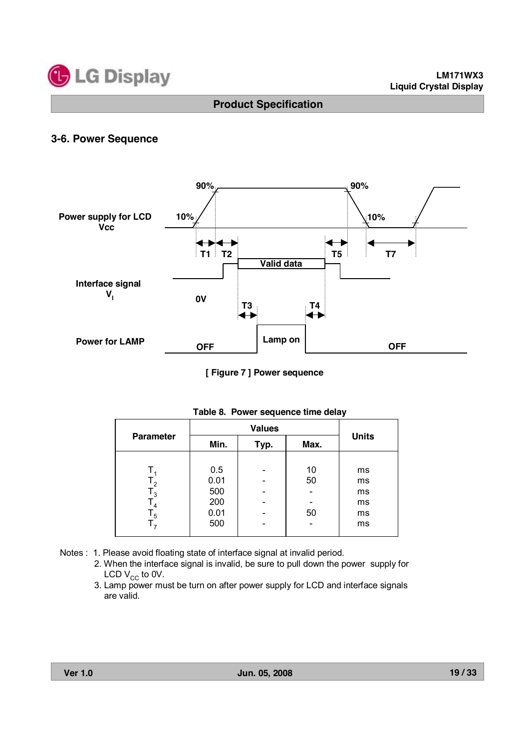

#### **3-6. Power Sequence**



**[ Figure 7 ] Power sequence**

|                  |      | <b>Values</b> |      |              |  |  |  |  |  |
|------------------|------|---------------|------|--------------|--|--|--|--|--|
| <b>Parameter</b> | Min. | Typ.          | Max. | <b>Units</b> |  |  |  |  |  |
|                  |      |               |      |              |  |  |  |  |  |
|                  | 0.5  |               | 10   | ms           |  |  |  |  |  |
| $T_{2}$          | 0.01 |               | 50   | ms           |  |  |  |  |  |
| $\mathsf{I}_3$   | 500  |               |      | ms           |  |  |  |  |  |
| $T_{4}$          | 200  |               |      | ms           |  |  |  |  |  |
| $\mathsf{T}_5$   | 0.01 |               | 50   | ms           |  |  |  |  |  |
| ۱,               | 500  |               |      | ms           |  |  |  |  |  |

#### **Table 8. Power sequence time delay**

- Notes : 1. Please avoid floating state of interface signal at invalid period.
	- 2. When the interface signal is invalid, be sure to pull down the power supply for LCD  $V_{CC}$  to 0V.
	- 3. Lamp power must be turn on after power supply for LCD and interface signals are valid.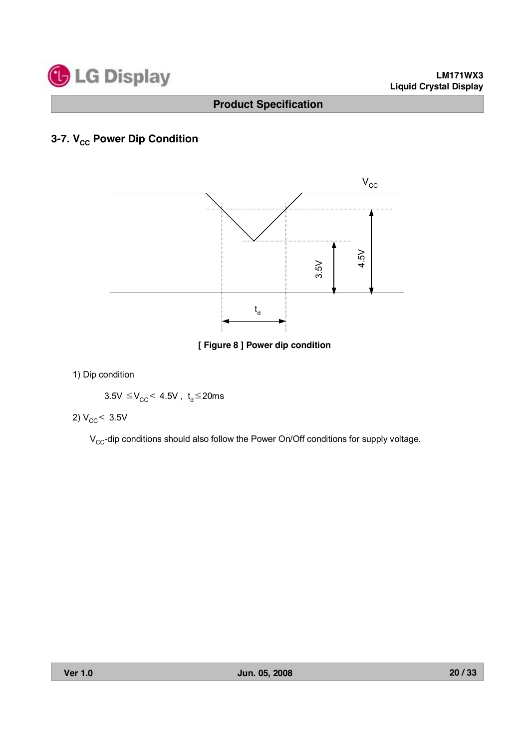

# **3-7. V<sub>cc</sub> Power Dip Condition**



**[ Figure 8 ] Power dip condition**

1) Dip condition

$$
3.5V \leq V_{CC} < 4.5V \ , \ t_d \leq 20ms
$$

$$
2) V_{\rm CC} < 3.5 V
$$

 $V_{CC}$ -dip conditions should also follow the Power On/Off conditions for supply voltage.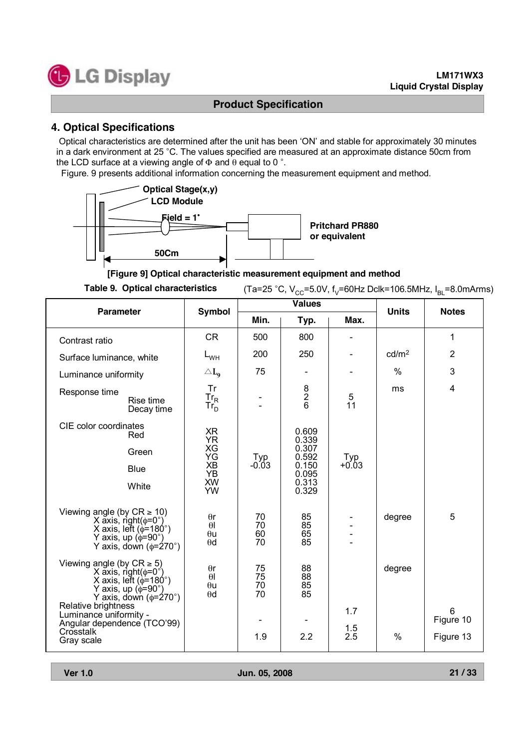

# **4. Optical Specifications**

Optical characteristics are determined after the unit has been 'ON' and stable for approximately 30 minutes in a dark environment at 25 °C. The values specified are measured at an approximate distance 50cm from the LCD surface at a viewing angle of  $\Phi$  and  $\theta$  equal to 0 °.

Figure. 9 presents additional information concerning the measurement equipment and method.



**[Figure 9] Optical characteristic measurement equipment and method**

Table 9. Optical characteristics (Ta=25 °C, V<sub>cc</sub>=5.0V, f<sub>V</sub>=60Hz Dclk=106.5MHz, I<sub>BL</sub>=8.0mArms)

| <b>Parameter</b>                                                                                                                                                     | <b>Symbol</b>                                      |                      | <b>Values</b>        |                | <b>Units</b>      | <b>Notes</b>   |  |
|----------------------------------------------------------------------------------------------------------------------------------------------------------------------|----------------------------------------------------|----------------------|----------------------|----------------|-------------------|----------------|--|
|                                                                                                                                                                      |                                                    | Min.                 | Typ.                 | Max.           |                   |                |  |
| Contrast ratio                                                                                                                                                       | <b>CR</b>                                          | 500                  | 800                  |                |                   | 1              |  |
| Surface luminance, white                                                                                                                                             | $L_{WH}$                                           | 200                  | 250                  |                | cd/m <sup>2</sup> | $\overline{2}$ |  |
| Luminance uniformity                                                                                                                                                 | $\triangle L_{\text{o}}$                           | 75                   |                      |                | %                 | 3              |  |
| Response time<br>Rise time<br>Decay time                                                                                                                             | Tr<br>$Tr_R$<br>Tr <sub>D</sub>                    |                      | $\frac{8}{6}$        | 5<br>11        | ms                | 4              |  |
| CIE color coordinates<br>Red                                                                                                                                         | XR<br><b>YR</b>                                    |                      | 0.609<br>0.339       |                |                   |                |  |
| Green                                                                                                                                                                | XG<br>YG                                           | $_{-0.03}^{Typ}$     | 0.307<br>0.592       | $Typ$<br>+0.03 |                   |                |  |
| <b>Blue</b>                                                                                                                                                          | <b>XB</b><br><b>YB</b>                             |                      | 0.150<br>0.095       |                |                   |                |  |
| White                                                                                                                                                                | <b>XW</b><br>YW                                    |                      | 0.313<br>0.329       |                |                   |                |  |
| Viewing angle (by $CR \ge 10$ )<br>X axis, right( $\phi$ =0°)<br>X axis, left ( $\phi$ =180°)<br>Y axis, up $(\phi = 90^\circ)$<br>Y axis, down $(\phi = 270^\circ)$ | $\theta$ r<br>$\theta$<br>$\theta$ u<br>$\theta$ d | 70<br>70<br>60<br>70 | 85<br>85<br>65<br>85 |                | degree            | 5              |  |
| Viewing angle (by $CR \ge 5$ )<br>X axis, right( $\phi$ =0°)<br>X axis, left ( $\phi$ =180°)<br>Y axis, up ( $\phi$ =90°)<br>Y axis, down $(\phi = 270^\circ)$       | $\theta$ r<br>$\theta$<br>$\theta$ u<br>$\theta$ d | 75<br>75<br>70<br>70 | 88<br>88<br>85<br>85 |                | degree            |                |  |
| Relative brightness<br>Luminance uniformity -<br>Angular dependence (TCO'99)                                                                                         |                                                    |                      |                      | 1.7            |                   | 6<br>Figure 10 |  |
| Crosstalk<br>Gray scale                                                                                                                                              |                                                    | 1.9                  | 2.2                  | 1.5<br>2.5     | $\%$              | Figure 13      |  |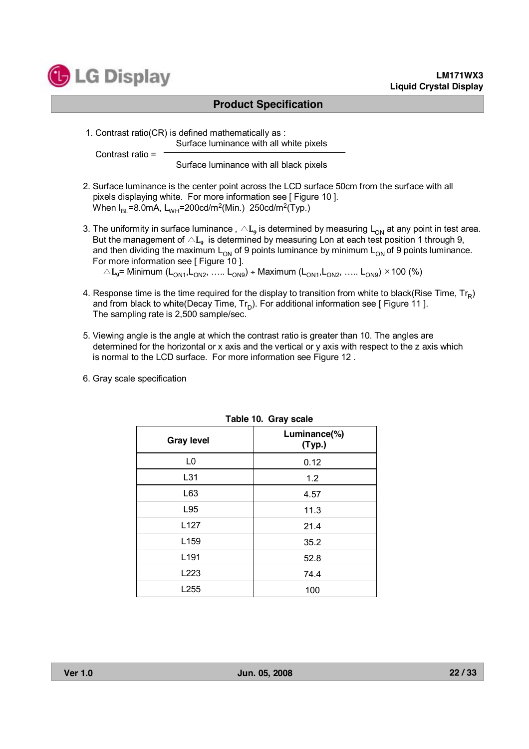

#### **LM171WX3 Liquid Crystal Display**

#### **Product Specification**

1. Contrast ratio(CR) is defined mathematically as : Surface luminance with all white pixels

Contrast ratio =

Surface luminance with all black pixels

- 2. Surface luminance is the center point across the LCD surface 50cm from the surface with all pixels displaying white. For more information see [ Figure 10 ]. When  $I_{BL}$ =8.0mA,  $L_{WH}$ =200cd/m<sup>2</sup>(Min.) 250cd/m<sup>2</sup>(Typ.)
- 3. The uniformity in surface luminance,  $\triangle L_{9}$  is determined by measuring  $L_{ON}$  at any point in test area. But the management of  $\triangle L_{9}$  is determined by measuring Lon at each test position 1 through 9, and then dividing the maximum  $L_{ON}$  of 9 points luminance by minimum  $L_{ON}$  of 9 points luminance. For more information see [ Figure 10 ].  $\triangle L_9$ = Minimum (L<sub>ON1</sub>, L<sub>ON2</sub>, ….. L<sub>ON9</sub>) ÷ Maximum (L<sub>ON1</sub>, L<sub>ON2</sub>, ….. L<sub>ON9</sub>) × 100 (%)
- 4. Response time is the time required for the display to transition from white to black(Rise Time,  $Tr_R$ ) and from black to white(Decay Time,  $Tr_D$ ). For additional information see [ Figure 11 ]. The sampling rate is 2,500 sample/sec.
- 5. Viewing angle is the angle at which the contrast ratio is greater than 10. The angles are determined for the horizontal or x axis and the vertical or y axis with respect to the z axis which is normal to the LCD surface. For more information see Figure 12 .
- 6. Gray scale specification

| Table TU. Gray scale |                        |  |  |  |  |  |  |  |  |  |  |
|----------------------|------------------------|--|--|--|--|--|--|--|--|--|--|
| <b>Gray level</b>    | Luminance(%)<br>(Typ.) |  |  |  |  |  |  |  |  |  |  |
| L0                   | 0.12                   |  |  |  |  |  |  |  |  |  |  |
| L31                  | 1.2                    |  |  |  |  |  |  |  |  |  |  |
| L63                  | 4.57                   |  |  |  |  |  |  |  |  |  |  |
| L95                  | 11.3                   |  |  |  |  |  |  |  |  |  |  |
| L127                 | 21.4                   |  |  |  |  |  |  |  |  |  |  |
| L159                 | 35.2                   |  |  |  |  |  |  |  |  |  |  |
| L191                 | 52.8                   |  |  |  |  |  |  |  |  |  |  |
| L223                 | 74.4                   |  |  |  |  |  |  |  |  |  |  |
| L255                 | 100                    |  |  |  |  |  |  |  |  |  |  |

#### **Table 10. Gray scale**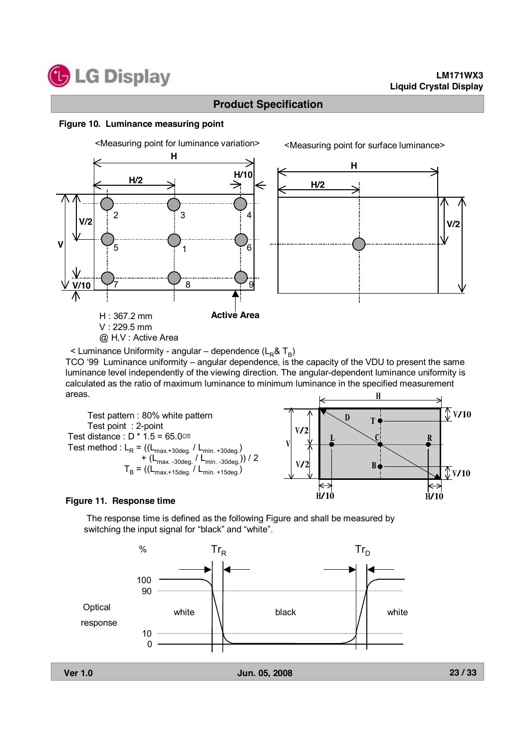

#### **Figure 10. Luminance measuring point**



TCO '99 Luminance uniformity – angular dependence, is the capacity of the VDU to present the same luminance level independently of the viewing direction. The angular-dependent luminance uniformity is calculated as the ratio of maximum luminance to minimum luminance in the specified measurement areas. H



#### **Figure 11. Response time**

The response time is defined as the following Figure and shall be measured by switching the input signal for "black" and "white".



**23 / 33**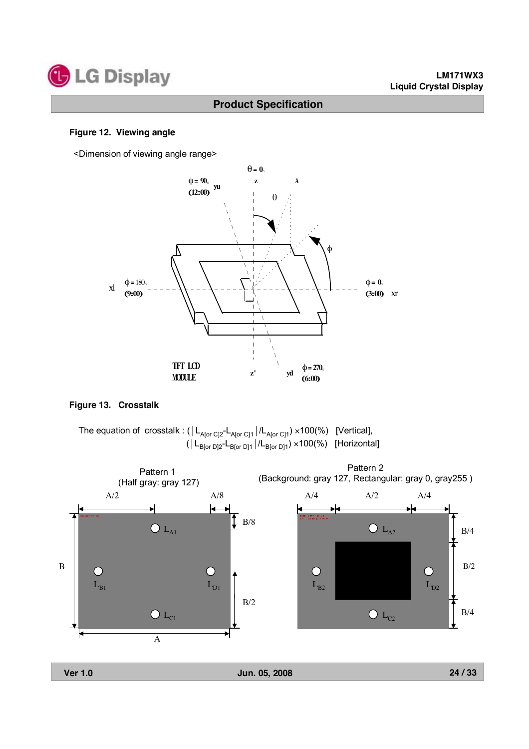

#### **Figure 12. Viewing angle**

<Dimension of viewing angle range>



#### **Figure 13. Crosstalk**



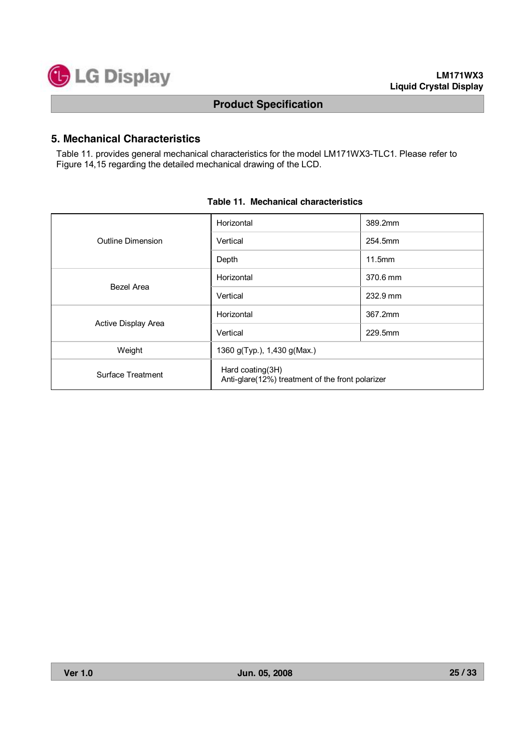

# **5. Mechanical Characteristics**

Table 11. provides general mechanical characteristics for the model LM171WX3-TLC1. Please refer to Figure 14,15 regarding the detailed mechanical drawing of the LCD.

|                     | Horizontal                                                           | 389.2mm  |  |  |  |  |
|---------------------|----------------------------------------------------------------------|----------|--|--|--|--|
| Outline Dimension   | Vertical                                                             | 254.5mm  |  |  |  |  |
|                     | Depth                                                                | 11.5mm   |  |  |  |  |
| Bezel Area          | Horizontal                                                           | 370.6 mm |  |  |  |  |
|                     | Vertical                                                             | 232.9 mm |  |  |  |  |
|                     | Horizontal                                                           | 367.2mm  |  |  |  |  |
| Active Display Area | Vertical                                                             | 229.5mm  |  |  |  |  |
| Weight              | 1360 g(Typ.), 1,430 g(Max.)                                          |          |  |  |  |  |
| Surface Treatment   | Hard coating(3H)<br>Anti-glare(12%) treatment of the front polarizer |          |  |  |  |  |

#### **Table 11. Mechanical characteristics**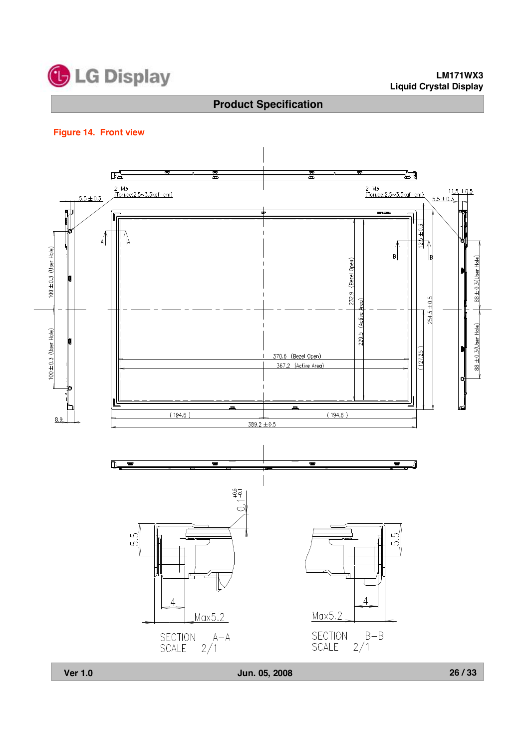

#### **LM171WX3 Liquid Crystal Display**

# **Product Specification**

#### **Figure 14. Front view**

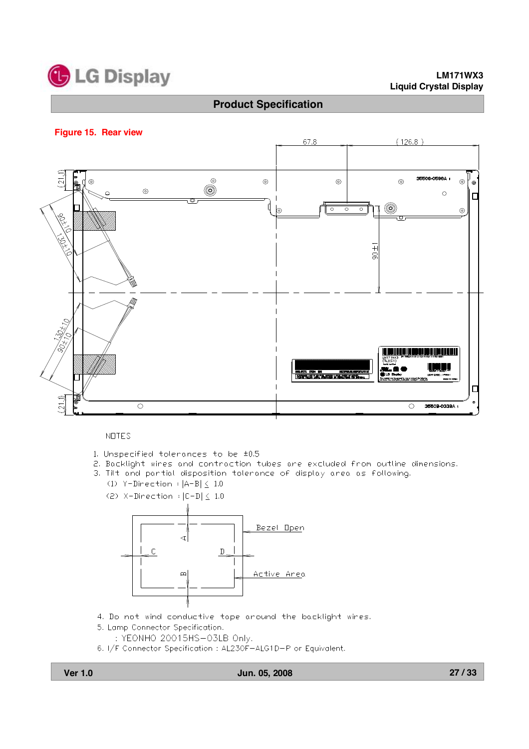

#### **LM171WX3 Liquid Crystal Display**

#### **Product Specification**

#### **Figure 15. Rear view**



#### **NOTES**

- 1. Unspecified tolerances to be ±0.5
- 2. Backlight wires and contraction tubes are excluded from outline dimensions.
- 3. Tilt and partial disposition tolerance of display area as following.
	- $(1)$  Y-Direction :  $|A-B| < 1.0$
	- (2)  $X-Direction$   $|C-D| \le 1.0$



- 4. Do not wind conductive tape around the backlight wires.
- 5. Lamp Connector Specification.
	- : YEONHO 20015HS-03LB Only.
- 6. I/F Connector Specification : AL230F-ALG1D-P or Equivalent.

#### **Ver 1.0 Jun. 05, 2008**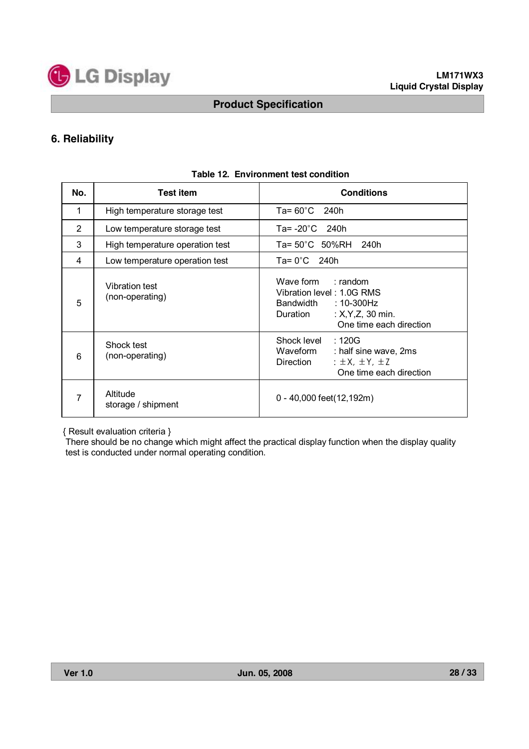

# **6. Reliability**

| No. | <b>Test item</b>                  | <b>Conditions</b>                                                                                                                                  |  |  |  |  |  |  |  |
|-----|-----------------------------------|----------------------------------------------------------------------------------------------------------------------------------------------------|--|--|--|--|--|--|--|
| 1   | High temperature storage test     | Ta= $60^{\circ}$ C 240h                                                                                                                            |  |  |  |  |  |  |  |
| 2   | Low temperature storage test      | Ta= $-20^{\circ}$ C 240h                                                                                                                           |  |  |  |  |  |  |  |
| 3   | High temperature operation test   | Ta= 50°C 50%RH 240h                                                                                                                                |  |  |  |  |  |  |  |
| 4   | Low temperature operation test    | $Ta = 0^{\circ}C$ 240h                                                                                                                             |  |  |  |  |  |  |  |
| 5   | Vibration test<br>(non-operating) | Wave form : random<br>Vibration level: 1.0G RMS<br>Bandwidth<br>:10-300Hz<br>: $X, Y, Z, 30$ min.<br>Duration<br>One time each direction           |  |  |  |  |  |  |  |
| 6   | Shock test<br>(non-operating)     | Shock level<br>:120G<br>Waveform<br>: half sine wave, 2ms<br>$\pm$ $\pm$ $\lambda$ , $\pm$ $\pm$ $\lambda$<br>Direction<br>One time each direction |  |  |  |  |  |  |  |
| 7   | Altitude<br>storage / shipment    | 0 - 40,000 feet(12,192m)                                                                                                                           |  |  |  |  |  |  |  |

#### **Table 12. Environment test condition**

{ Result evaluation criteria }

There should be no change which might affect the practical display function when the display quality test is conducted under normal operating condition.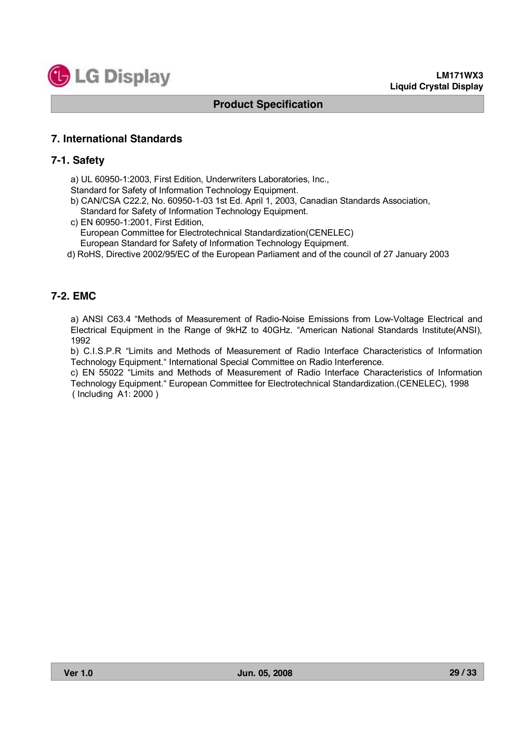

#### **7. International Standards**

#### **7-1. Safety**

a) UL 60950-1:2003, First Edition, Underwriters Laboratories, Inc.,

Standard for Safety of Information Technology Equipment.

- b) CAN/CSA C22.2, No. 60950-1-03 1st Ed. April 1, 2003, Canadian Standards Association, Standard for Safety of Information Technology Equipment.
- c) EN 60950-1:2001, First Edition, European Committee for Electrotechnical Standardization(CENELEC) European Standard for Safety of Information Technology Equipment.
- d) RoHS, Directive 2002/95/EC of the European Parliament and of the council of 27 January 2003

# **7-2. EMC**

a) ANSI C63.4 "Methods of Measurement of Radio-Noise Emissions from Low-Voltage Electrical and Electrical Equipment in the Range of 9kHZ to 40GHz. "American National Standards Institute(ANSI), 1992

b) C.I.S.P.R "Limits and Methods of Measurement of Radio Interface Characteristics of Information Technology Equipment." International Special Committee on Radio Interference.

c) EN 55022 "Limits and Methods of Measurement of Radio Interface Characteristics of Information Technology Equipment." European Committee for Electrotechnical Standardization.(CENELEC), 1998 ( Including A1: 2000 )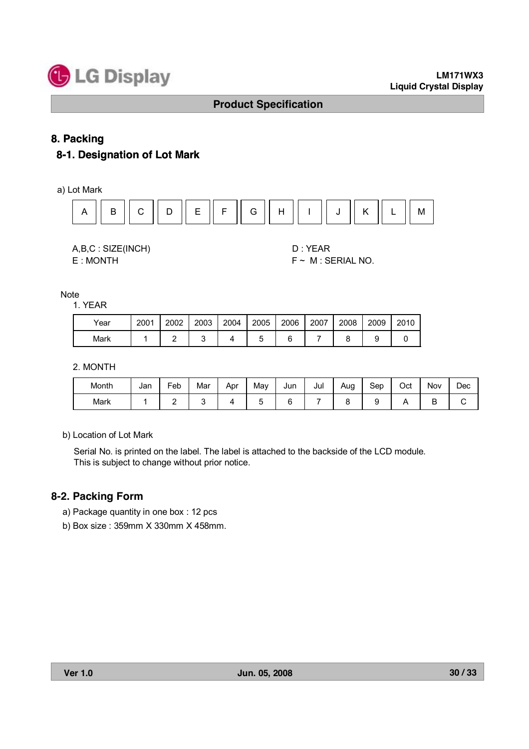

# **8. Packing**

# **8-1. Designation of Lot Mark**

a) Lot Mark



A,B,C : SIZE(INCH) D : YEAR

 $E : MONTH$   $F \sim M : SERIAL NO.$ 

Note

1. YEAR

| Year | 2001 | 2002 | 2003 | 2004 | 2005 | 2006 | 2007 | 2008 | 2009 | 2010 |
|------|------|------|------|------|------|------|------|------|------|------|
| Mark |      |      |      |      |      |      |      |      |      |      |

2. MONTH

| Month | Jan | -<br>=eb | Mar | Apr | Mav | Jun | Jul | Aug | Sep | Oct | <b>Nov</b> | Dec |
|-------|-----|----------|-----|-----|-----|-----|-----|-----|-----|-----|------------|-----|
| Mark  |     | ∸        |     |     | ∽   | -   |     |     |     |     | -<br>◡     | ັ   |

b) Location of Lot Mark

Serial No. is printed on the label. The label is attached to the backside of the LCD module. This is subject to change without prior notice.

#### **8-2. Packing Form**

- a) Package quantity in one box : 12 pcs
- b) Box size : 359mm X 330mm X 458mm.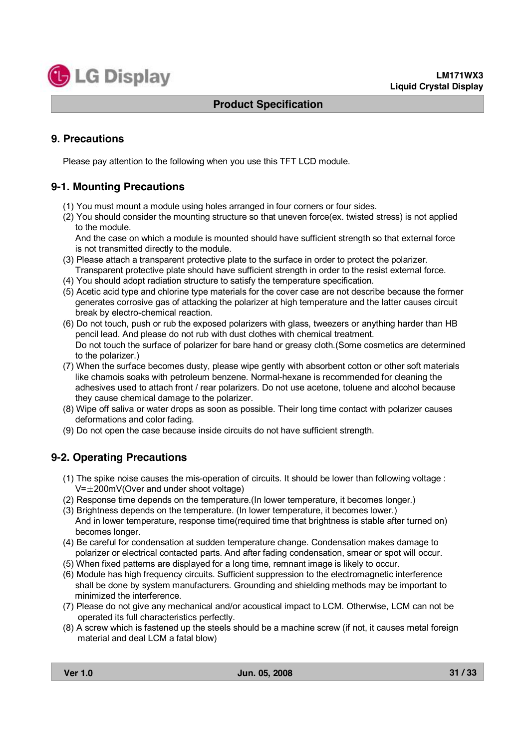

### **9. Precautions**

Please pay attention to the following when you use this TFT LCD module.

# **9-1. Mounting Precautions**

- (1) You must mount a module using holes arranged in four corners or four sides.
- (2) You should consider the mounting structure so that uneven force(ex. twisted stress) is not applied to the module.

And the case on which a module is mounted should have sufficient strength so that external force is not transmitted directly to the module.

- (3) Please attach a transparent protective plate to the surface in order to protect the polarizer. Transparent protective plate should have sufficient strength in order to the resist external force.
- (4) You should adopt radiation structure to satisfy the temperature specification.
- (5) Acetic acid type and chlorine type materials for the cover case are not describe because the former generates corrosive gas of attacking the polarizer at high temperature and the latter causes circuit break by electro-chemical reaction.
- (6) Do not touch, push or rub the exposed polarizers with glass, tweezers or anything harder than HB pencil lead. And please do not rub with dust clothes with chemical treatment. Do not touch the surface of polarizer for bare hand or greasy cloth.(Some cosmetics are determined to the polarizer.)
- (7) When the surface becomes dusty, please wipe gently with absorbent cotton or other soft materials like chamois soaks with petroleum benzene. Normal-hexane is recommended for cleaning the adhesives used to attach front / rear polarizers. Do not use acetone, toluene and alcohol because they cause chemical damage to the polarizer.
- (8) Wipe off saliva or water drops as soon as possible. Their long time contact with polarizer causes deformations and color fading.
- (9) Do not open the case because inside circuits do not have sufficient strength.

#### **9-2. Operating Precautions**

- (1) The spike noise causes the mis-operation of circuits. It should be lower than following voltage :  $V=\pm 200$ mV(Over and under shoot voltage)
- (2) Response time depends on the temperature.(In lower temperature, it becomes longer.)
- (3) Brightness depends on the temperature. (In lower temperature, it becomes lower.) And in lower temperature, response time(required time that brightness is stable after turned on) becomes longer.
- (4) Be careful for condensation at sudden temperature change. Condensation makes damage to polarizer or electrical contacted parts. And after fading condensation, smear or spot will occur.
- (5) When fixed patterns are displayed for a long time, remnant image is likely to occur.
- (6) Module has high frequency circuits. Sufficient suppression to the electromagnetic interference shall be done by system manufacturers. Grounding and shielding methods may be important to minimized the interference.
- (7) Please do not give any mechanical and/or acoustical impact to LCM. Otherwise, LCM can not be operated its full characteristics perfectly.
- (8) A screw which is fastened up the steels should be a machine screw (if not, it causes metal foreign material and deal LCM a fatal blow)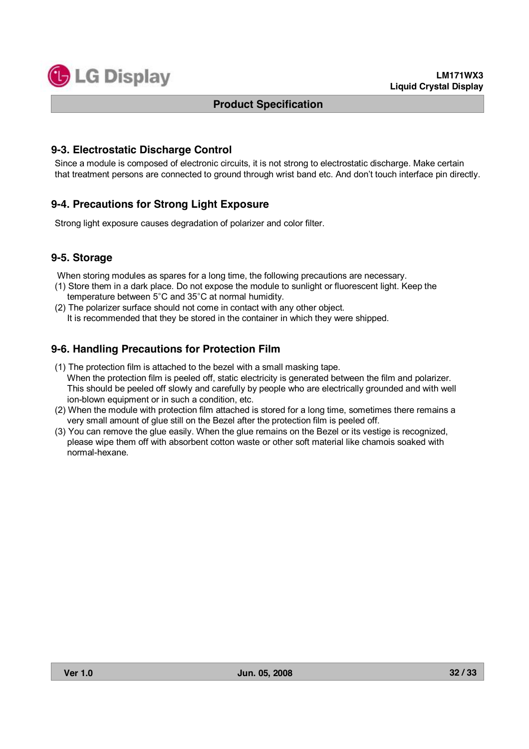

#### **9-3. Electrostatic Discharge Control**

Since a module is composed of electronic circuits, it is not strong to electrostatic discharge. Make certain that treatment persons are connected to ground through wrist band etc. And don't touch interface pin directly.

#### **9-4. Precautions for Strong Light Exposure**

Strong light exposure causes degradation of polarizer and color filter.

#### **9-5. Storage**

When storing modules as spares for a long time, the following precautions are necessary.

- (1) Store them in a dark place. Do not expose the module to sunlight or fluorescent light. Keep the temperature between 5°C and 35°C at normal humidity.
- (2) The polarizer surface should not come in contact with any other object. It is recommended that they be stored in the container in which they were shipped.

# **9-6. Handling Precautions for Protection Film**

- (1) The protection film is attached to the bezel with a small masking tape. When the protection film is peeled off, static electricity is generated between the film and polarizer. This should be peeled off slowly and carefully by people who are electrically grounded and with well ion-blown equipment or in such a condition, etc.
- (2) When the module with protection film attached is stored for a long time, sometimes there remains a very small amount of glue still on the Bezel after the protection film is peeled off.
- (3) You can remove the glue easily. When the glue remains on the Bezel or its vestige is recognized, please wipe them off with absorbent cotton waste or other soft material like chamois soaked with normal-hexane.